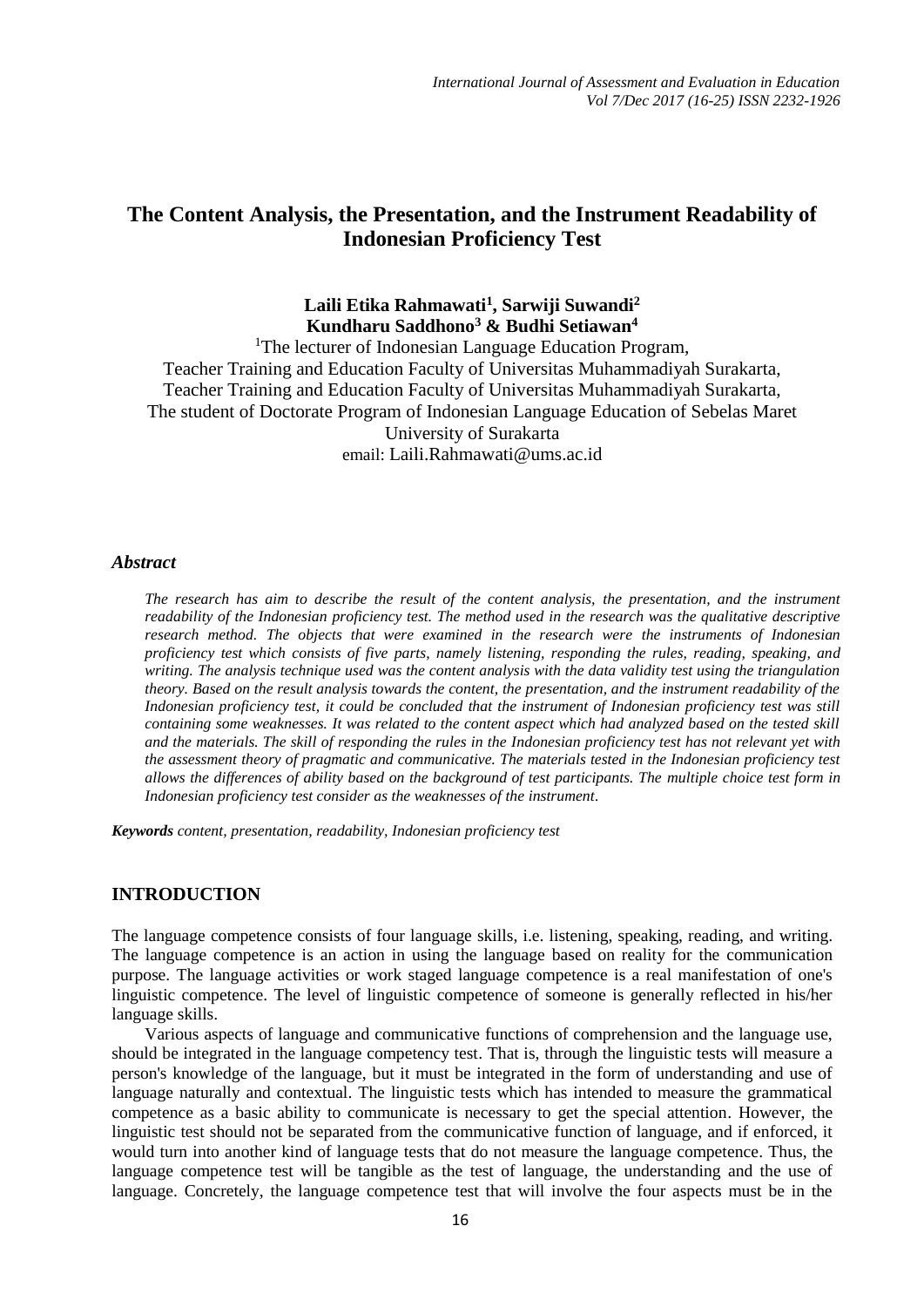# **The Content Analysis, the Presentation, and the Instrument Readability of Indonesian Proficiency Test**

## **Laili Etika Rahmawati<sup>1</sup> , Sarwiji Suwandi<sup>2</sup> Kundharu Saddhono<sup>3</sup> & Budhi Setiawan<sup>4</sup>**

<sup>1</sup>The lecturer of Indonesian Language Education Program, Teacher Training and Education Faculty of Universitas Muhammadiyah Surakarta, Teacher Training and Education Faculty of Universitas Muhammadiyah Surakarta, The student of Doctorate Program of Indonesian Language Education of Sebelas Maret University of Surakarta email: [Laili.Rahmawati@ums.ac.id](mailto:Laili.Rahmawati@ums.ac.id)

### *Abstract*

*The research has aim to describe the result of the content analysis, the presentation, and the instrument readability of the Indonesian proficiency test. The method used in the research was the qualitative descriptive research method. The objects that were examined in the research were the instruments of Indonesian proficiency test which consists of five parts, namely listening, responding the rules, reading, speaking, and writing. The analysis technique used was the content analysis with the data validity test using the triangulation theory. Based on the result analysis towards the content, the presentation, and the instrument readability of the Indonesian proficiency test, it could be concluded that the instrument of Indonesian proficiency test was still containing some weaknesses. It was related to the content aspect which had analyzed based on the tested skill and the materials. The skill of responding the rules in the Indonesian proficiency test has not relevant yet with the assessment theory of pragmatic and communicative. The materials tested in the Indonesian proficiency test allows the differences of ability based on the background of test participants. The multiple choice test form in Indonesian proficiency test consider as the weaknesses of the instrument.*

*Keywords content, presentation, readability, Indonesian proficiency test*

## **INTRODUCTION**

The language competence consists of four language skills, i.e. listening, speaking, reading, and writing. The language competence is an action in using the language based on reality for the communication purpose. The language activities or work staged language competence is a real manifestation of one's linguistic competence. The level of linguistic competence of someone is generally reflected in his/her language skills.

Various aspects of language and communicative functions of comprehension and the language use, should be integrated in the language competency test. That is, through the linguistic tests will measure a person's knowledge of the language, but it must be integrated in the form of understanding and use of language naturally and contextual. The linguistic tests which has intended to measure the grammatical competence as a basic ability to communicate is necessary to get the special attention. However, the linguistic test should not be separated from the communicative function of language, and if enforced, it would turn into another kind of language tests that do not measure the language competence. Thus, the language competence test will be tangible as the test of language, the understanding and the use of language. Concretely, the language competence test that will involve the four aspects must be in the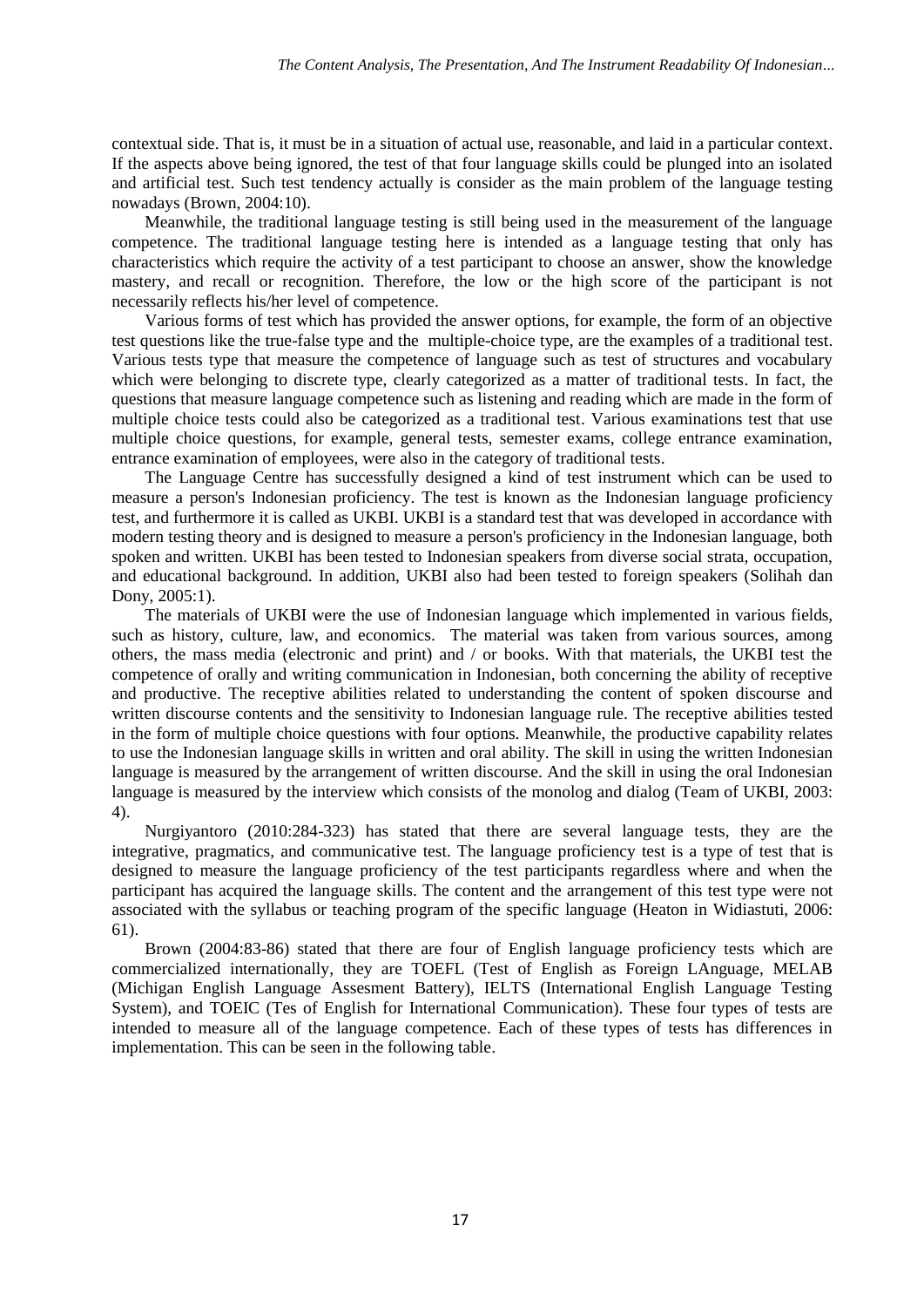contextual side. That is, it must be in a situation of actual use, reasonable, and laid in a particular context. If the aspects above being ignored, the test of that four language skills could be plunged into an isolated and artificial test. Such test tendency actually is consider as the main problem of the language testing nowadays (Brown, 2004:10).

Meanwhile, the traditional language testing is still being used in the measurement of the language competence. The traditional language testing here is intended as a language testing that only has characteristics which require the activity of a test participant to choose an answer, show the knowledge mastery, and recall or recognition. Therefore, the low or the high score of the participant is not necessarily reflects his/her level of competence.

Various forms of test which has provided the answer options, for example, the form of an objective test questions like the true-false type and the multiple-choice type, are the examples of a traditional test. Various tests type that measure the competence of language such as test of structures and vocabulary which were belonging to discrete type, clearly categorized as a matter of traditional tests. In fact, the questions that measure language competence such as listening and reading which are made in the form of multiple choice tests could also be categorized as a traditional test. Various examinations test that use multiple choice questions, for example, general tests, semester exams, college entrance examination, entrance examination of employees, were also in the category of traditional tests.

The Language Centre has successfully designed a kind of test instrument which can be used to measure a person's Indonesian proficiency. The test is known as the Indonesian language proficiency test, and furthermore it is called as UKBI. UKBI is a standard test that was developed in accordance with modern testing theory and is designed to measure a person's proficiency in the Indonesian language, both spoken and written. UKBI has been tested to Indonesian speakers from diverse social strata, occupation, and educational background. In addition, UKBI also had been tested to foreign speakers (Solihah dan Dony, 2005:1).

The materials of UKBI were the use of Indonesian language which implemented in various fields, such as history, culture, law, and economics. The material was taken from various sources, among others, the mass media (electronic and print) and / or books. With that materials, the UKBI test the competence of orally and writing communication in Indonesian, both concerning the ability of receptive and productive. The receptive abilities related to understanding the content of spoken discourse and written discourse contents and the sensitivity to Indonesian language rule. The receptive abilities tested in the form of multiple choice questions with four options. Meanwhile, the productive capability relates to use the Indonesian language skills in written and oral ability. The skill in using the written Indonesian language is measured by the arrangement of written discourse. And the skill in using the oral Indonesian language is measured by the interview which consists of the monolog and dialog (Team of UKBI, 2003: 4).

Nurgiyantoro (2010:284-323) has stated that there are several language tests, they are the integrative, pragmatics, and communicative test. The language proficiency test is a type of test that is designed to measure the language proficiency of the test participants regardless where and when the participant has acquired the language skills. The content and the arrangement of this test type were not associated with the syllabus or teaching program of the specific language (Heaton in Widiastuti, 2006: 61).

Brown (2004:83-86) stated that there are four of English language proficiency tests which are commercialized internationally, they are TOEFL (Test of English as Foreign LAnguage, MELAB (Michigan English Language Assesment Battery), IELTS (International English Language Testing System), and TOEIC (Tes of English for International Communication). These four types of tests are intended to measure all of the language competence. Each of these types of tests has differences in implementation. This can be seen in the following table.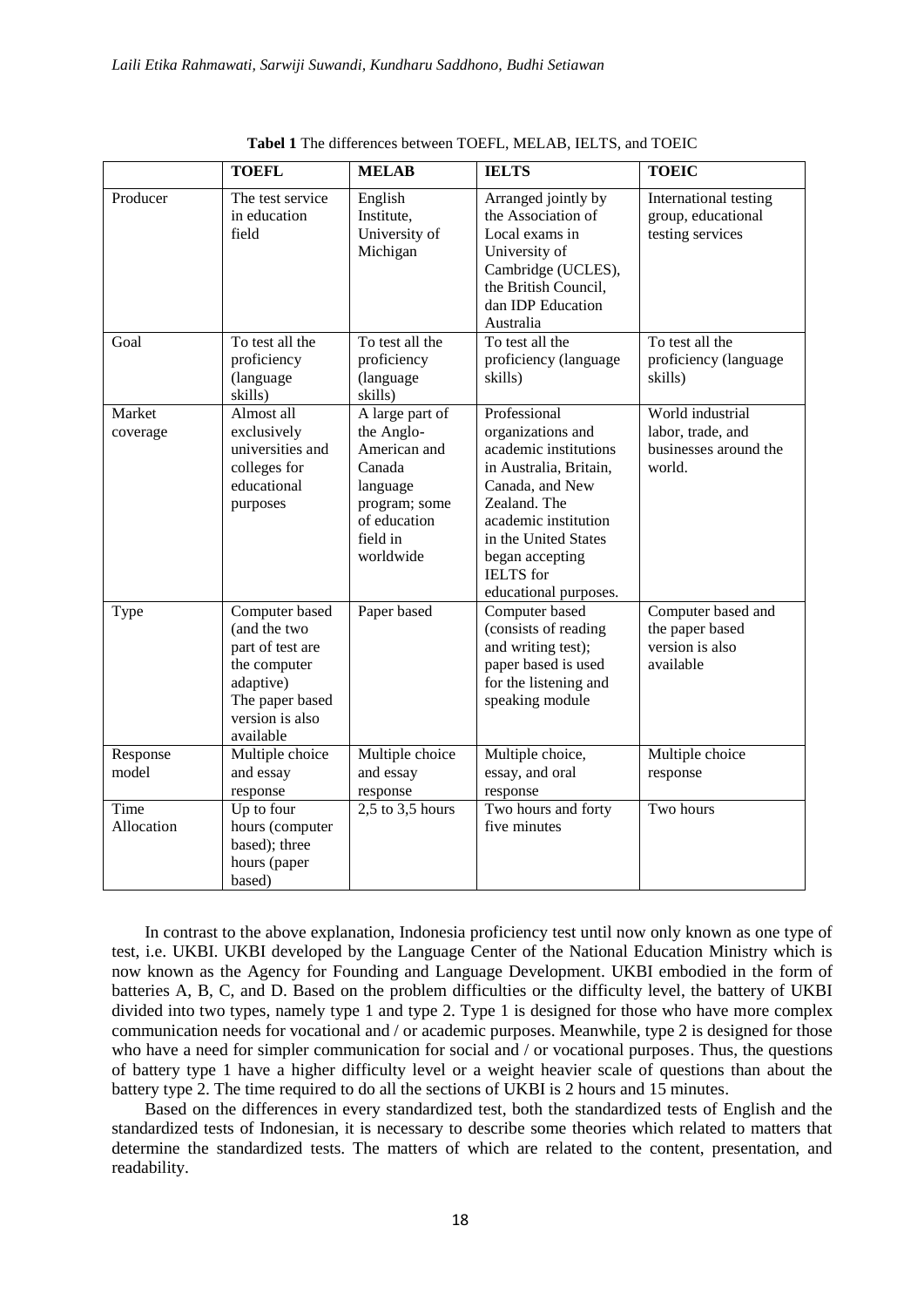|                    | <b>TOEFL</b>                                                                                                                       | <b>MELAB</b>                                                                                                                  | <b>IELTS</b>                                                                                                                                                                                                                            | <b>TOEIC</b>                                                             |
|--------------------|------------------------------------------------------------------------------------------------------------------------------------|-------------------------------------------------------------------------------------------------------------------------------|-----------------------------------------------------------------------------------------------------------------------------------------------------------------------------------------------------------------------------------------|--------------------------------------------------------------------------|
| Producer           | The test service<br>in education<br>field                                                                                          | English<br>Institute,<br>University of<br>Michigan                                                                            | Arranged jointly by<br>the Association of<br>Local exams in<br>University of<br>Cambridge (UCLES),<br>the British Council,<br>dan IDP Education<br>Australia                                                                            | International testing<br>group, educational<br>testing services          |
| Goal               | To test all the<br>proficiency<br>(language<br>skills)                                                                             | To test all the<br>proficiency<br>(language<br>skills)                                                                        | To test all the<br>proficiency (language<br>skills)                                                                                                                                                                                     | To test all the<br>proficiency (language<br>skills)                      |
| Market<br>coverage | Almost all<br>exclusively<br>universities and<br>colleges for<br>educational<br>purposes                                           | A large part of<br>the Anglo-<br>American and<br>Canada<br>language<br>program; some<br>of education<br>field in<br>worldwide | Professional<br>organizations and<br>academic institutions<br>in Australia, Britain,<br>Canada, and New<br>Zealand. The<br>academic institution<br>in the United States<br>began accepting<br><b>IELTS</b> for<br>educational purposes. | World industrial<br>labor, trade, and<br>businesses around the<br>world. |
| Type               | Computer based<br>(and the two<br>part of test are<br>the computer<br>adaptive)<br>The paper based<br>version is also<br>available | Paper based                                                                                                                   | Computer based<br>(consists of reading<br>and writing test);<br>paper based is used<br>for the listening and<br>speaking module                                                                                                         | Computer based and<br>the paper based<br>version is also<br>available    |
| Response<br>model  | Multiple choice<br>and essay<br>response                                                                                           | Multiple choice<br>and essay<br>response                                                                                      | Multiple choice,<br>essay, and oral<br>response                                                                                                                                                                                         | Multiple choice<br>response                                              |
| Time<br>Allocation | Up to four<br>hours (computer<br>based); three<br>hours (paper<br>based)                                                           | $2,5$ to $3,5$ hours                                                                                                          | Two hours and forty<br>five minutes                                                                                                                                                                                                     | Two hours                                                                |

**Tabel 1** The differences between TOEFL, MELAB, IELTS, and TOEIC

In contrast to the above explanation, Indonesia proficiency test until now only known as one type of test, i.e. UKBI. UKBI developed by the Language Center of the National Education Ministry which is now known as the Agency for Founding and Language Development. UKBI embodied in the form of batteries A, B, C, and D. Based on the problem difficulties or the difficulty level, the battery of UKBI divided into two types, namely type 1 and type 2. Type 1 is designed for those who have more complex communication needs for vocational and / or academic purposes. Meanwhile, type 2 is designed for those who have a need for simpler communication for social and / or vocational purposes. Thus, the questions of battery type 1 have a higher difficulty level or a weight heavier scale of questions than about the battery type 2. The time required to do all the sections of UKBI is 2 hours and 15 minutes.

Based on the differences in every standardized test, both the standardized tests of English and the standardized tests of Indonesian, it is necessary to describe some theories which related to matters that determine the standardized tests. The matters of which are related to the content, presentation, and readability.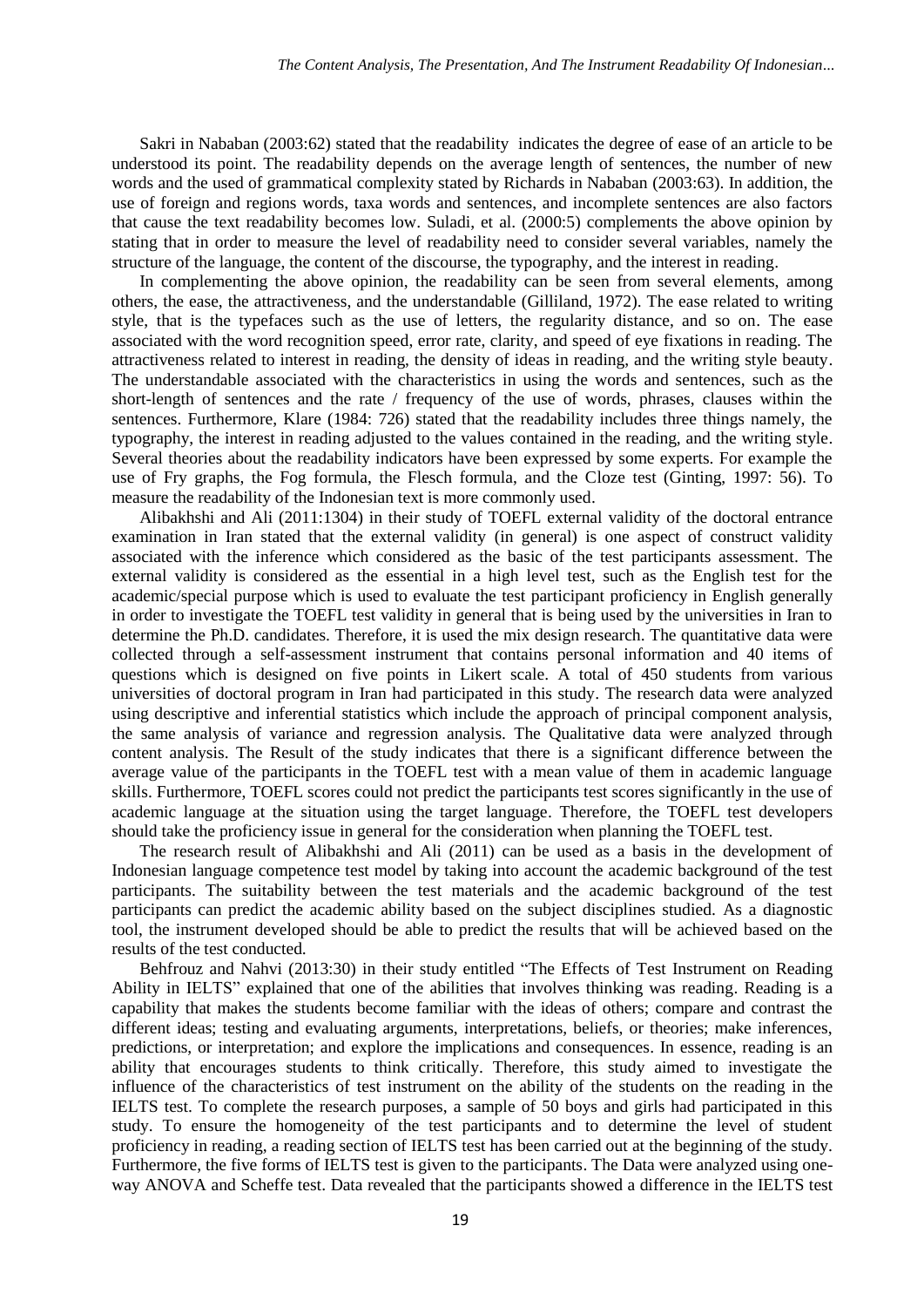Sakri in Nababan (2003:62) stated that the readability indicates the degree of ease of an article to be understood its point. The readability depends on the average length of sentences, the number of new words and the used of grammatical complexity stated by Richards in Nababan (2003:63). In addition, the use of foreign and regions words, taxa words and sentences, and incomplete sentences are also factors that cause the text readability becomes low. Suladi, et al. (2000:5) complements the above opinion by stating that in order to measure the level of readability need to consider several variables, namely the structure of the language, the content of the discourse, the typography, and the interest in reading.

In complementing the above opinion, the readability can be seen from several elements, among others, the ease, the attractiveness, and the understandable (Gilliland, 1972). The ease related to writing style, that is the typefaces such as the use of letters, the regularity distance, and so on. The ease associated with the word recognition speed, error rate, clarity, and speed of eye fixations in reading. The attractiveness related to interest in reading, the density of ideas in reading, and the writing style beauty. The understandable associated with the characteristics in using the words and sentences, such as the short-length of sentences and the rate / frequency of the use of words, phrases, clauses within the sentences. Furthermore, Klare (1984: 726) stated that the readability includes three things namely, the typography, the interest in reading adjusted to the values contained in the reading, and the writing style. Several theories about the readability indicators have been expressed by some experts. For example the use of Fry graphs, the Fog formula, the Flesch formula, and the Cloze test (Ginting, 1997: 56). To measure the readability of the Indonesian text is more commonly used.

Alibakhshi and Ali (2011:1304) in their study of TOEFL external validity of the doctoral entrance examination in Iran stated that the external validity (in general) is one aspect of construct validity associated with the inference which considered as the basic of the test participants assessment. The external validity is considered as the essential in a high level test, such as the English test for the academic/special purpose which is used to evaluate the test participant proficiency in English generally in order to investigate the TOEFL test validity in general that is being used by the universities in Iran to determine the Ph.D. candidates. Therefore, it is used the mix design research. The quantitative data were collected through a self-assessment instrument that contains personal information and 40 items of questions which is designed on five points in Likert scale. A total of 450 students from various universities of doctoral program in Iran had participated in this study. The research data were analyzed using descriptive and inferential statistics which include the approach of principal component analysis, the same analysis of variance and regression analysis. The Qualitative data were analyzed through content analysis. The Result of the study indicates that there is a significant difference between the average value of the participants in the TOEFL test with a mean value of them in academic language skills. Furthermore, TOEFL scores could not predict the participants test scores significantly in the use of academic language at the situation using the target language. Therefore, the TOEFL test developers should take the proficiency issue in general for the consideration when planning the TOEFL test.

The research result of Alibakhshi and Ali (2011) can be used as a basis in the development of Indonesian language competence test model by taking into account the academic background of the test participants. The suitability between the test materials and the academic background of the test participants can predict the academic ability based on the subject disciplines studied. As a diagnostic tool, the instrument developed should be able to predict the results that will be achieved based on the results of the test conducted.

Behfrouz and Nahvi (2013:30) in their study entitled "The Effects of Test Instrument on Reading Ability in IELTS" explained that one of the abilities that involves thinking was reading. Reading is a capability that makes the students become familiar with the ideas of others; compare and contrast the different ideas; testing and evaluating arguments, interpretations, beliefs, or theories; make inferences, predictions, or interpretation; and explore the implications and consequences. In essence, reading is an ability that encourages students to think critically. Therefore, this study aimed to investigate the influence of the characteristics of test instrument on the ability of the students on the reading in the IELTS test. To complete the research purposes, a sample of 50 boys and girls had participated in this study. To ensure the homogeneity of the test participants and to determine the level of student proficiency in reading, a reading section of IELTS test has been carried out at the beginning of the study. Furthermore, the five forms of IELTS test is given to the participants. The Data were analyzed using oneway ANOVA and Scheffe test. Data revealed that the participants showed a difference in the IELTS test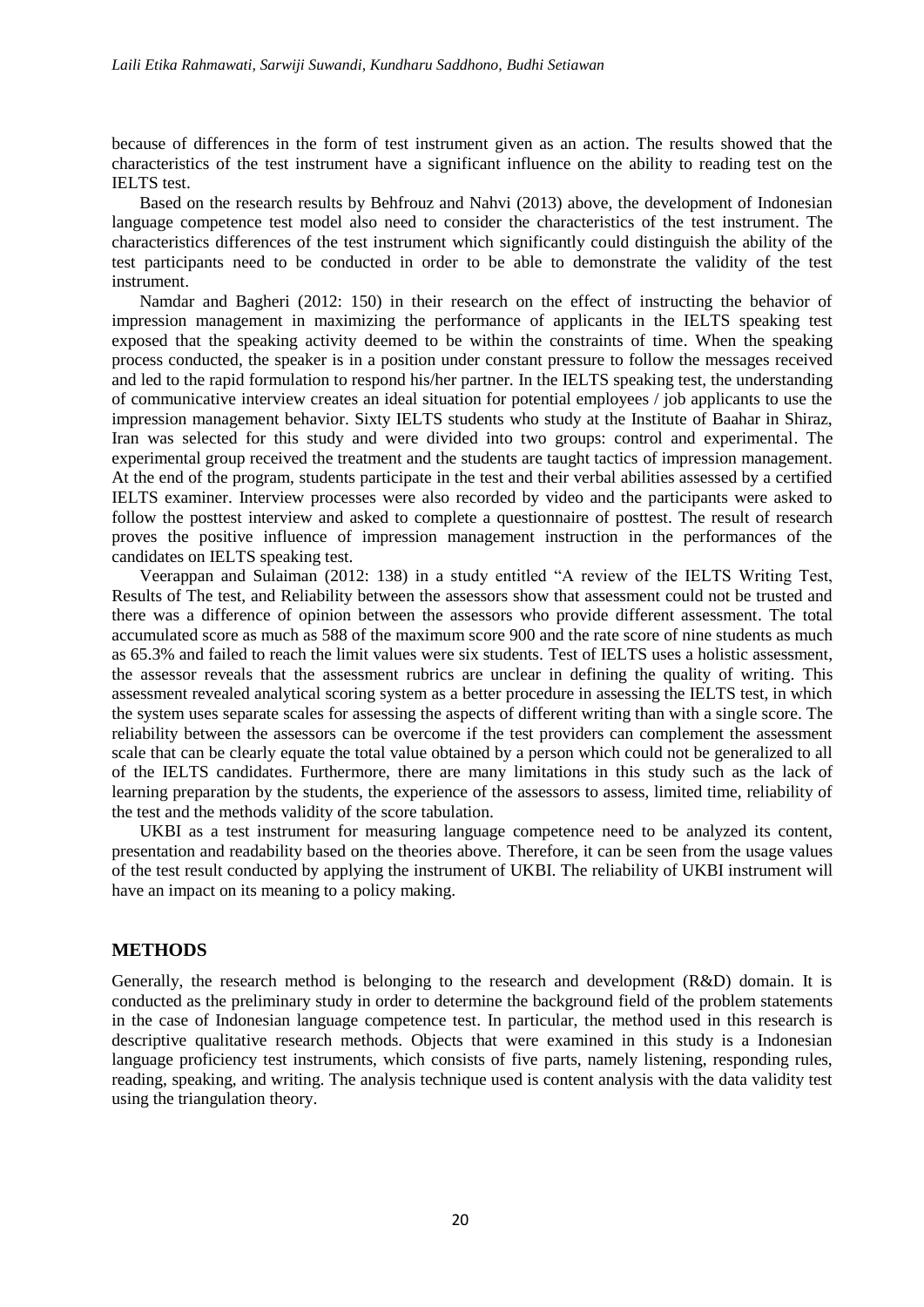because of differences in the form of test instrument given as an action. The results showed that the characteristics of the test instrument have a significant influence on the ability to reading test on the IELTS test.

Based on the research results by Behfrouz and Nahvi (2013) above, the development of Indonesian language competence test model also need to consider the characteristics of the test instrument. The characteristics differences of the test instrument which significantly could distinguish the ability of the test participants need to be conducted in order to be able to demonstrate the validity of the test instrument.

Namdar and Bagheri (2012: 150) in their research on the effect of instructing the behavior of impression management in maximizing the performance of applicants in the IELTS speaking test exposed that the speaking activity deemed to be within the constraints of time. When the speaking process conducted, the speaker is in a position under constant pressure to follow the messages received and led to the rapid formulation to respond his/her partner. In the IELTS speaking test, the understanding of communicative interview creates an ideal situation for potential employees / job applicants to use the impression management behavior. Sixty IELTS students who study at the Institute of Baahar in Shiraz, Iran was selected for this study and were divided into two groups: control and experimental. The experimental group received the treatment and the students are taught tactics of impression management. At the end of the program, students participate in the test and their verbal abilities assessed by a certified IELTS examiner. Interview processes were also recorded by video and the participants were asked to follow the posttest interview and asked to complete a questionnaire of posttest. The result of research proves the positive influence of impression management instruction in the performances of the candidates on IELTS speaking test.

Veerappan and Sulaiman (2012: 138) in a study entitled "A review of the IELTS Writing Test, Results of The test, and Reliability between the assessors show that assessment could not be trusted and there was a difference of opinion between the assessors who provide different assessment. The total accumulated score as much as 588 of the maximum score 900 and the rate score of nine students as much as 65.3% and failed to reach the limit values were six students. Test of IELTS uses a holistic assessment, the assessor reveals that the assessment rubrics are unclear in defining the quality of writing. This assessment revealed analytical scoring system as a better procedure in assessing the IELTS test, in which the system uses separate scales for assessing the aspects of different writing than with a single score. The reliability between the assessors can be overcome if the test providers can complement the assessment scale that can be clearly equate the total value obtained by a person which could not be generalized to all of the IELTS candidates. Furthermore, there are many limitations in this study such as the lack of learning preparation by the students, the experience of the assessors to assess, limited time, reliability of the test and the methods validity of the score tabulation.

UKBI as a test instrument for measuring language competence need to be analyzed its content, presentation and readability based on the theories above. Therefore, it can be seen from the usage values of the test result conducted by applying the instrument of UKBI. The reliability of UKBI instrument will have an impact on its meaning to a policy making.

## **METHODS**

Generally, the research method is belonging to the research and development (R&D) domain. It is conducted as the preliminary study in order to determine the background field of the problem statements in the case of Indonesian language competence test. In particular, the method used in this research is descriptive qualitative research methods. Objects that were examined in this study is a Indonesian language proficiency test instruments, which consists of five parts, namely listening, responding rules, reading, speaking, and writing. The analysis technique used is content analysis with the data validity test using the triangulation theory.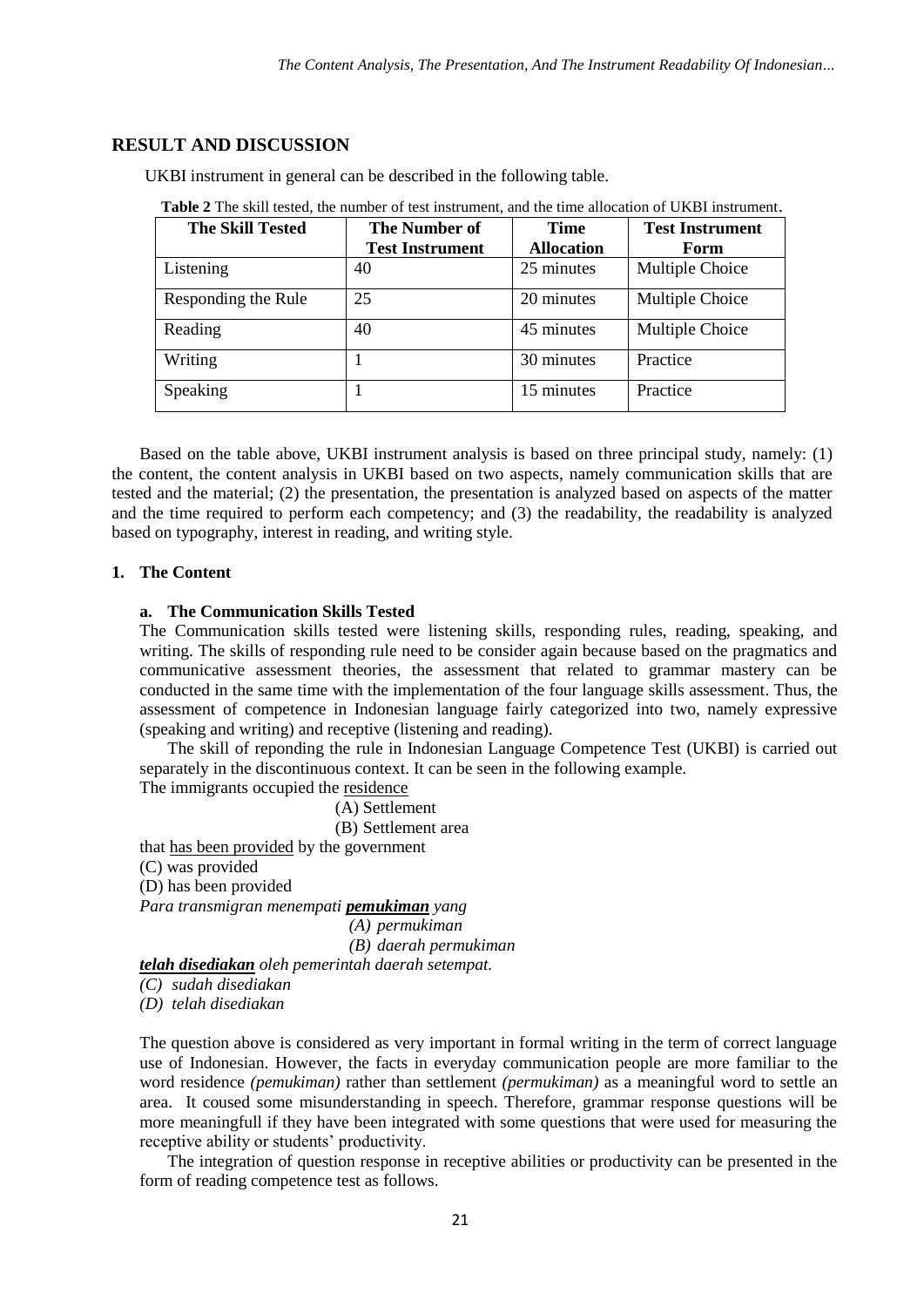## **RESULT AND DISCUSSION**

UKBI instrument in general can be described in the following table.

| <b>The Skill Tested</b> | The Number of<br><b>Test Instrument</b> | <b>Time</b><br><b>Allocation</b> | <b>Test Instrument</b><br>Form |
|-------------------------|-----------------------------------------|----------------------------------|--------------------------------|
|                         |                                         |                                  |                                |
| Listening               | 40                                      | 25 minutes                       | Multiple Choice                |
| Responding the Rule     | 25                                      | 20 minutes                       | Multiple Choice                |
| Reading                 | 40                                      | 45 minutes                       | Multiple Choice                |
| Writing                 |                                         | 30 minutes                       | Practice                       |
| Speaking                |                                         | 15 minutes                       | Practice                       |

**Table 2** The skill tested, the number of test instrument, and the time allocation of UKBI instrument.

Based on the table above, UKBI instrument analysis is based on three principal study, namely: (1) the content, the content analysis in UKBI based on two aspects, namely communication skills that are tested and the material; (2) the presentation, the presentation is analyzed based on aspects of the matter and the time required to perform each competency; and (3) the readability, the readability is analyzed based on typography, interest in reading, and writing style.

## **1. The Content**

## **a. The Communication Skills Tested**

The Communication skills tested were listening skills, responding rules, reading, speaking, and writing. The skills of responding rule need to be consider again because based on the pragmatics and communicative assessment theories, the assessment that related to grammar mastery can be conducted in the same time with the implementation of the four language skills assessment. Thus, the assessment of competence in Indonesian language fairly categorized into two, namely expressive (speaking and writing) and receptive (listening and reading).

The skill of reponding the rule in Indonesian Language Competence Test (UKBI) is carried out separately in the discontinuous context. It can be seen in the following example.

The immigrants occupied the residence

(A) Settlement

(B) Settlement area

that has been provided by the government

(C) was provided

(D) has been provided

*Para transmigran menempati pemukiman yang*

*(A) permukiman (B) daerah permukiman*

*telah disediakan oleh pemerintah daerah setempat.*

*(C) sudah disediakan*

*(D) telah disediakan* 

The question above is considered as very important in formal writing in the term of correct language use of Indonesian. However, the facts in everyday communication people are more familiar to the word residence *(pemukiman)* rather than settlement *(permukiman)* as a meaningful word to settle an area. It coused some misunderstanding in speech. Therefore, grammar response questions will be more meaningfull if they have been integrated with some questions that were used for measuring the receptive ability or students' productivity.

The integration of question response in receptive abilities or productivity can be presented in the form of reading competence test as follows.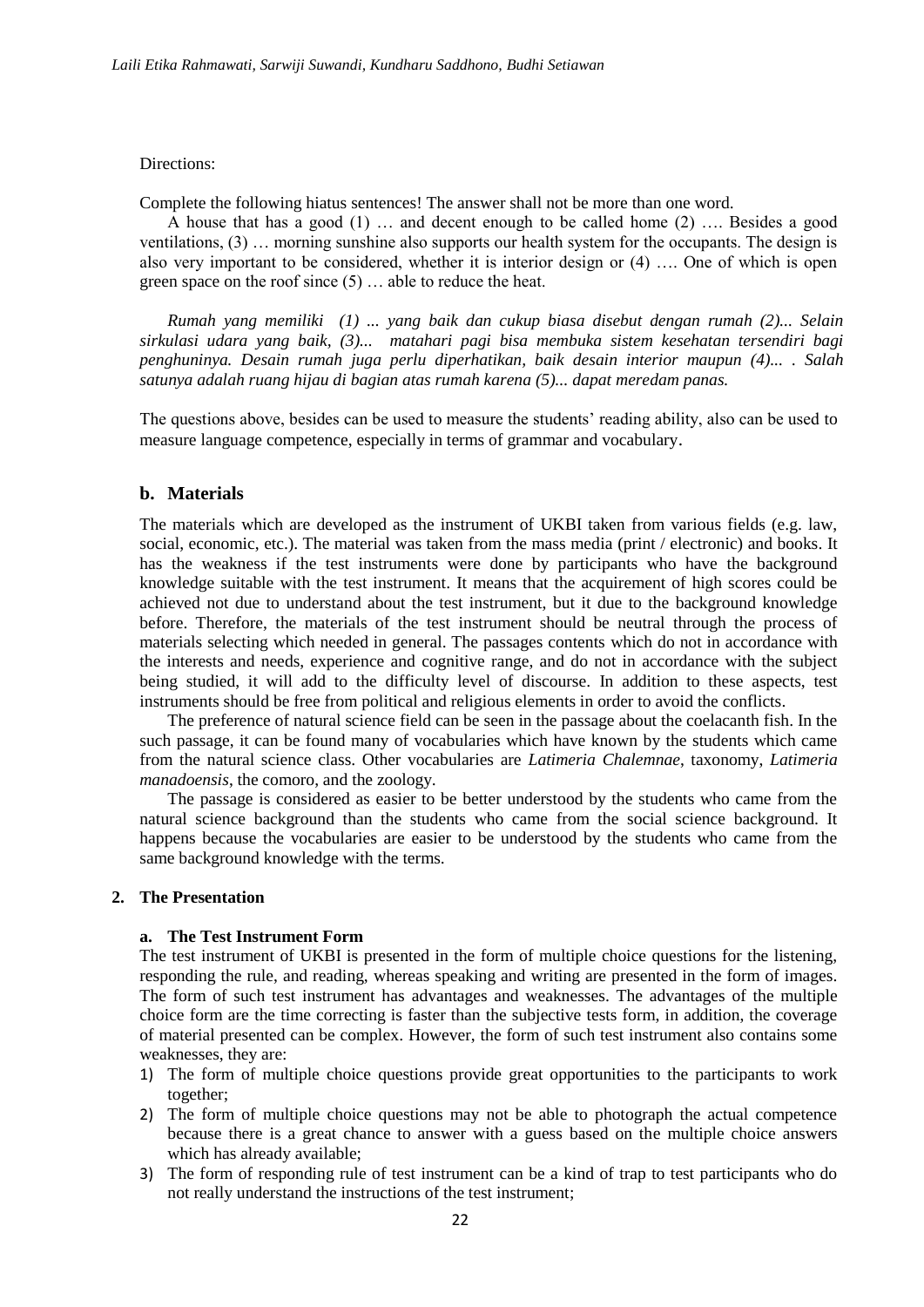#### Directions:

Complete the following hiatus sentences! The answer shall not be more than one word.

A house that has a good (1) … and decent enough to be called home (2) …. Besides a good ventilations, (3) … morning sunshine also supports our health system for the occupants. The design is also very important to be considered, whether it is interior design or (4) …. One of which is open green space on the roof since (5) … able to reduce the heat.

*Rumah yang memiliki (1) ... yang baik dan cukup biasa disebut dengan rumah (2)... Selain sirkulasi udara yang baik, (3)... matahari pagi bisa membuka sistem kesehatan tersendiri bagi penghuninya. Desain rumah juga perlu diperhatikan, baik desain interior maupun (4)... . Salah satunya adalah ruang hijau di bagian atas rumah karena (5)... dapat meredam panas.* 

The questions above, besides can be used to measure the students' reading ability, also can be used to measure language competence, especially in terms of grammar and vocabulary.

## **b. Materials**

The materials which are developed as the instrument of UKBI taken from various fields (e.g. law, social, economic, etc.). The material was taken from the mass media (print / electronic) and books. It has the weakness if the test instruments were done by participants who have the background knowledge suitable with the test instrument. It means that the acquirement of high scores could be achieved not due to understand about the test instrument, but it due to the background knowledge before. Therefore, the materials of the test instrument should be neutral through the process of materials selecting which needed in general. The passages contents which do not in accordance with the interests and needs, experience and cognitive range, and do not in accordance with the subject being studied, it will add to the difficulty level of discourse. In addition to these aspects, test instruments should be free from political and religious elements in order to avoid the conflicts.

The preference of natural science field can be seen in the passage about the coelacanth fish. In the such passage, it can be found many of vocabularies which have known by the students which came from the natural science class. Other vocabularies are *Latimeria Chalemnae*, taxonomy, *Latimeria manadoensis*, the comoro, and the zoology.

The passage is considered as easier to be better understood by the students who came from the natural science background than the students who came from the social science background. It happens because the vocabularies are easier to be understood by the students who came from the same background knowledge with the terms.

#### **2. The Presentation**

## **a. The Test Instrument Form**

The test instrument of UKBI is presented in the form of multiple choice questions for the listening, responding the rule, and reading, whereas speaking and writing are presented in the form of images. The form of such test instrument has advantages and weaknesses. The advantages of the multiple choice form are the time correcting is faster than the subjective tests form, in addition, the coverage of material presented can be complex. However, the form of such test instrument also contains some weaknesses, they are:

- 1) The form of multiple choice questions provide great opportunities to the participants to work together;
- 2) The form of multiple choice questions may not be able to photograph the actual competence because there is a great chance to answer with a guess based on the multiple choice answers which has already available;
- 3) The form of responding rule of test instrument can be a kind of trap to test participants who do not really understand the instructions of the test instrument;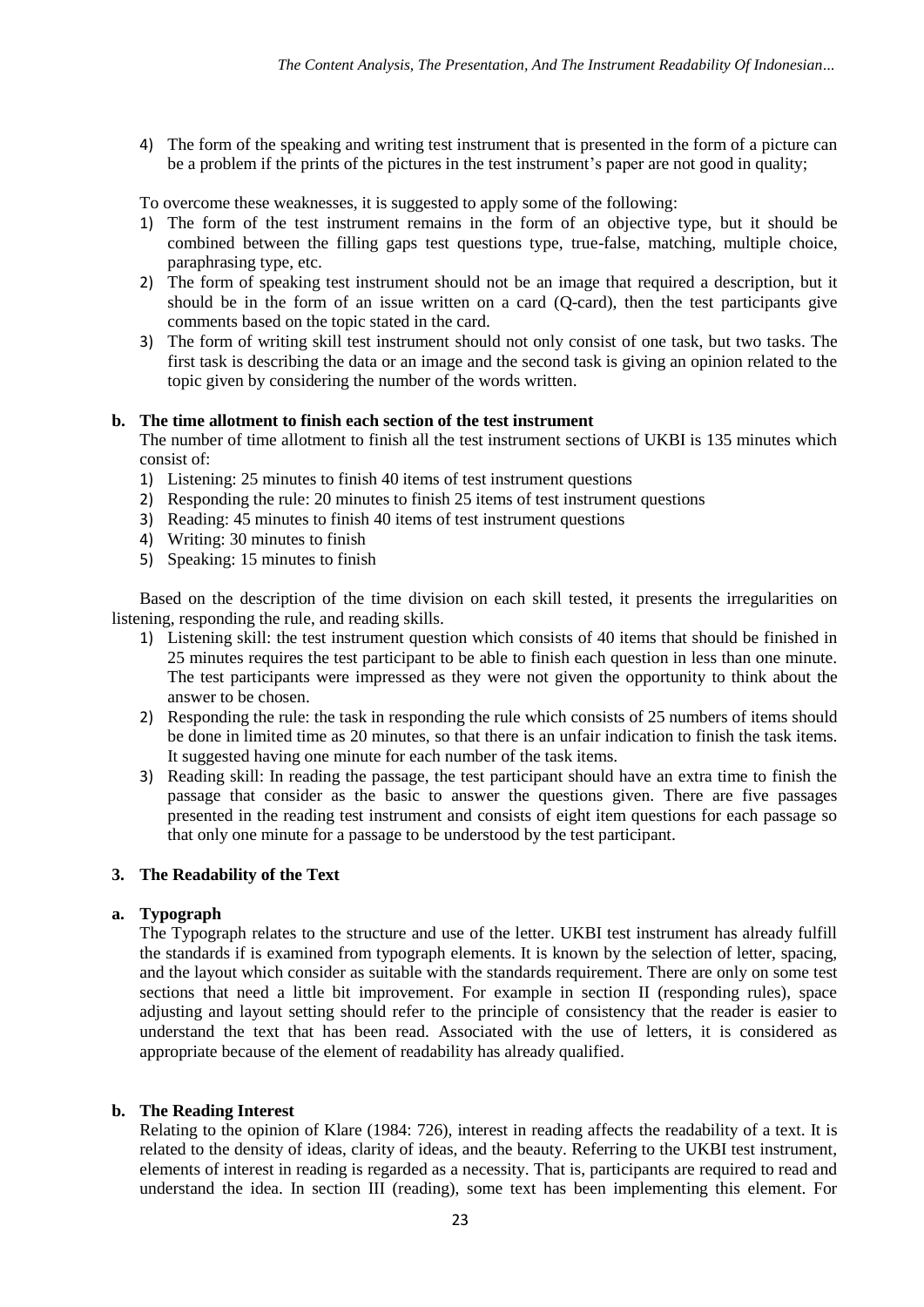4) The form of the speaking and writing test instrument that is presented in the form of a picture can be a problem if the prints of the pictures in the test instrument's paper are not good in quality;

To overcome these weaknesses, it is suggested to apply some of the following:

- 1) The form of the test instrument remains in the form of an objective type, but it should be combined between the filling gaps test questions type, true-false, matching, multiple choice, paraphrasing type, etc.
- 2) The form of speaking test instrument should not be an image that required a description, but it should be in the form of an issue written on a card (Q-card), then the test participants give comments based on the topic stated in the card.
- 3) The form of writing skill test instrument should not only consist of one task, but two tasks. The first task is describing the data or an image and the second task is giving an opinion related to the topic given by considering the number of the words written.

### **b. The time allotment to finish each section of the test instrument**

The number of time allotment to finish all the test instrument sections of UKBI is 135 minutes which consist of:

- 1) Listening: 25 minutes to finish 40 items of test instrument questions
- 2) Responding the rule: 20 minutes to finish 25 items of test instrument questions
- 3) Reading: 45 minutes to finish 40 items of test instrument questions
- 4) Writing: 30 minutes to finish
- 5) Speaking: 15 minutes to finish

Based on the description of the time division on each skill tested, it presents the irregularities on listening, responding the rule, and reading skills.

- 1) Listening skill: the test instrument question which consists of 40 items that should be finished in 25 minutes requires the test participant to be able to finish each question in less than one minute. The test participants were impressed as they were not given the opportunity to think about the answer to be chosen.
- 2) Responding the rule: the task in responding the rule which consists of 25 numbers of items should be done in limited time as 20 minutes, so that there is an unfair indication to finish the task items. It suggested having one minute for each number of the task items.
- 3) Reading skill: In reading the passage, the test participant should have an extra time to finish the passage that consider as the basic to answer the questions given. There are five passages presented in the reading test instrument and consists of eight item questions for each passage so that only one minute for a passage to be understood by the test participant.

## **3. The Readability of the Text**

#### **a. Typograph**

The Typograph relates to the structure and use of the letter. UKBI test instrument has already fulfill the standards if is examined from typograph elements. It is known by the selection of letter, spacing, and the layout which consider as suitable with the standards requirement. There are only on some test sections that need a little bit improvement. For example in section II (responding rules), space adjusting and layout setting should refer to the principle of consistency that the reader is easier to understand the text that has been read. Associated with the use of letters, it is considered as appropriate because of the element of readability has already qualified.

## **b. The Reading Interest**

Relating to the opinion of Klare (1984: 726), interest in reading affects the readability of a text. It is related to the density of ideas, clarity of ideas, and the beauty. Referring to the UKBI test instrument, elements of interest in reading is regarded as a necessity. That is, participants are required to read and understand the idea. In section III (reading), some text has been implementing this element. For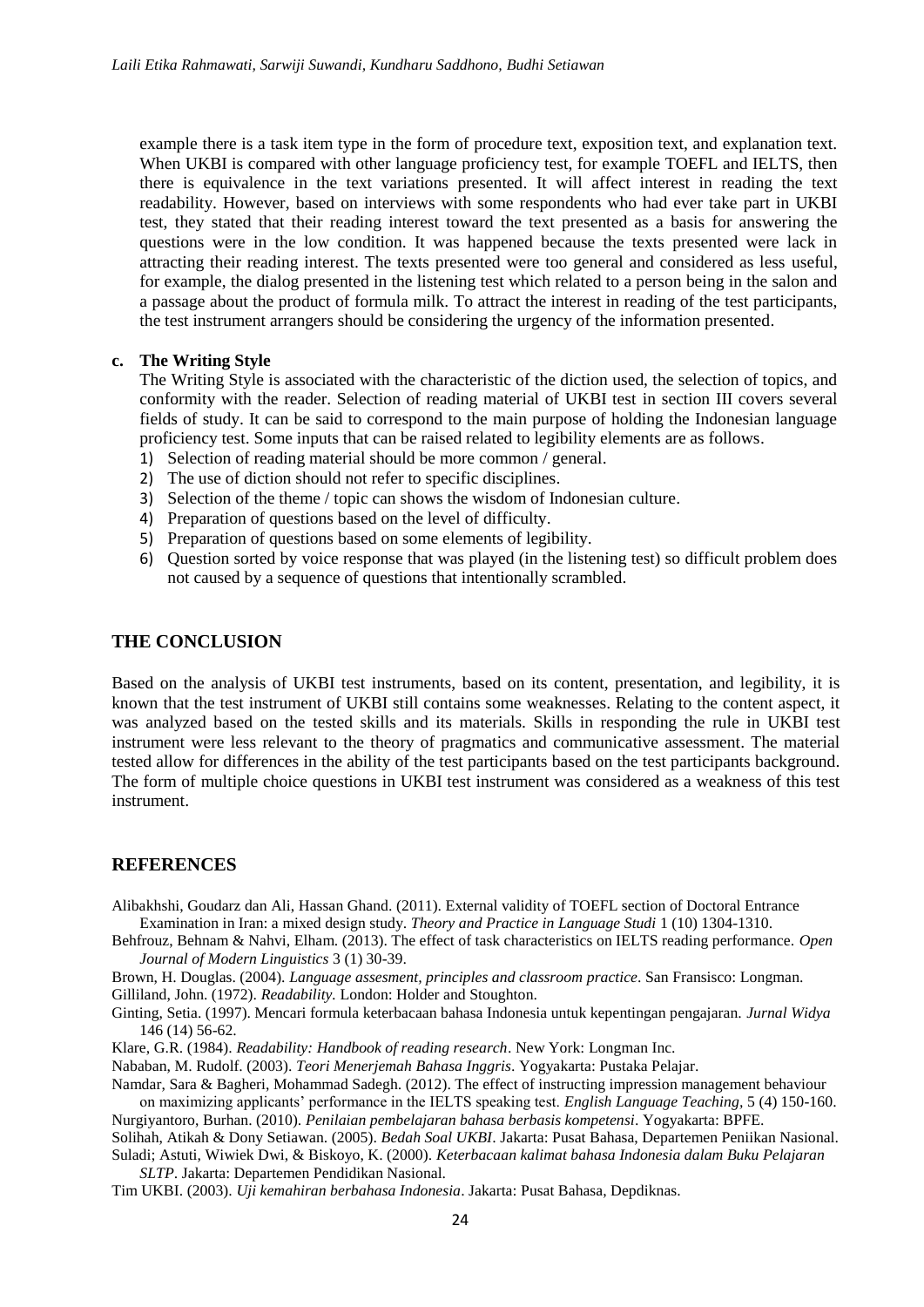example there is a task item type in the form of procedure text, exposition text, and explanation text. When UKBI is compared with other language proficiency test, for example TOEFL and IELTS, then there is equivalence in the text variations presented. It will affect interest in reading the text readability. However, based on interviews with some respondents who had ever take part in UKBI test, they stated that their reading interest toward the text presented as a basis for answering the questions were in the low condition. It was happened because the texts presented were lack in attracting their reading interest. The texts presented were too general and considered as less useful, for example, the dialog presented in the listening test which related to a person being in the salon and a passage about the product of formula milk. To attract the interest in reading of the test participants, the test instrument arrangers should be considering the urgency of the information presented.

#### **c. The Writing Style**

The Writing Style is associated with the characteristic of the diction used, the selection of topics, and conformity with the reader. Selection of reading material of UKBI test in section III covers several fields of study. It can be said to correspond to the main purpose of holding the Indonesian language proficiency test. Some inputs that can be raised related to legibility elements are as follows.

- 1) Selection of reading material should be more common / general.
- 2) The use of diction should not refer to specific disciplines.
- 3) Selection of the theme / topic can shows the wisdom of Indonesian culture.
- 4) Preparation of questions based on the level of difficulty.
- 5) Preparation of questions based on some elements of legibility.
- 6) Question sorted by voice response that was played (in the listening test) so difficult problem does not caused by a sequence of questions that intentionally scrambled.

## **THE CONCLUSION**

Based on the analysis of UKBI test instruments, based on its content, presentation, and legibility, it is known that the test instrument of UKBI still contains some weaknesses. Relating to the content aspect, it was analyzed based on the tested skills and its materials. Skills in responding the rule in UKBI test instrument were less relevant to the theory of pragmatics and communicative assessment. The material tested allow for differences in the ability of the test participants based on the test participants background. The form of multiple choice questions in UKBI test instrument was considered as a weakness of this test instrument.

## **REFERENCES**

Alibakhshi, Goudarz dan Ali, Hassan Ghand. (2011). External validity of TOEFL section of Doctoral Entrance Examination in Iran: a mixed design study. *Theory and Practice in Language Studi* 1 (10) 1304-1310.

Behfrouz, Behnam & Nahvi, Elham. (2013). The effect of task characteristics on IELTS reading performance. *Open Journal of Modern Linguistics* 3 (1) 30-39.

Brown, H. Douglas. (2004). *Language assesment, principles and classroom practice*. San Fransisco: Longman. Gilliland, John. (1972). *Readability.* London: Holder and Stoughton.

- Ginting, Setia. (1997). Mencari formula keterbacaan bahasa Indonesia untuk kepentingan pengajaran. *Jurnal Widya* 146 (14) 56-62.
- Klare, G.R. (1984). *Readability: Handbook of reading research*. New York: Longman Inc.

Nababan, M. Rudolf. (2003). *Teori Menerjemah Bahasa Inggris*. Yogyakarta: Pustaka Pelajar.

Namdar, Sara & Bagheri, Mohammad Sadegh. (2012). The effect of instructing impression management behaviour

on maximizing applicants' performance in the IELTS speaking test. *English Language Teaching,* 5 (4) 150-160. Nurgiyantoro, Burhan. (2010). *Penilaian pembelajaran bahasa berbasis kompetensi*. Yogyakarta: BPFE.

Solihah, Atikah & Dony Setiawan. (2005). *Bedah Soal UKBI*. Jakarta: Pusat Bahasa, Departemen Peniikan Nasional. Suladi; Astuti, Wiwiek Dwi, & Biskoyo, K. (2000). *Keterbacaan kalimat bahasa Indonesia dalam Buku Pelajaran SLTP*. Jakarta: Departemen Pendidikan Nasional.

Tim UKBI. (2003). *Uji kemahiran berbahasa Indonesia*. Jakarta: Pusat Bahasa, Depdiknas.